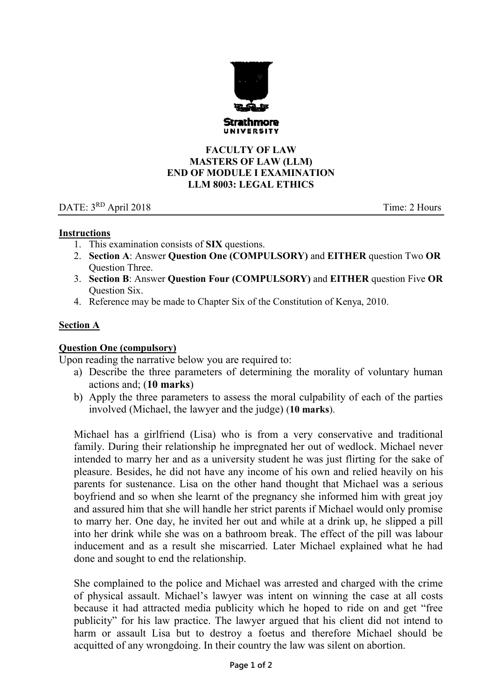

## **FACULTY OF LAW MASTERS OF LAW (LLM) END OF MODULE I EXAMINATION LLM 8003: LEGAL ETHICS**

# DATE: 3<sup>RD</sup> April 2018 Time: 2 Hours

## **Instructions**

- 1. This examination consists of **SIX** questions.
- 2. **Section A**: Answer **Question One (COMPULSORY)** and **EITHER** question Two **OR** Question Three.
- 3. **Section B**: Answer **Question Four (COMPULSORY)** and **EITHER** question Five **OR** Question Six.
- 4. Reference may be made to Chapter Six of the Constitution of Kenya, 2010.

## **Section A**

## **Question One (compulsory)**

Upon reading the narrative below you are required to:

- a) Describe the three parameters of determining the morality of voluntary human actions and; (**10 marks**)
- b) Apply the three parameters to assess the moral culpability of each of the parties involved (Michael, the lawyer and the judge) (**10 marks**).

Michael has a girlfriend (Lisa) who is from a very conservative and traditional family. During their relationship he impregnated her out of wedlock. Michael never intended to marry her and as a university student he was just flirting for the sake of pleasure. Besides, he did not have any income of his own and relied heavily on his parents for sustenance. Lisa on the other hand thought that Michael was a serious boyfriend and so when she learnt of the pregnancy she informed him with great joy and assured him that she will handle her strict parents if Michael would only promise to marry her. One day, he invited her out and while at a drink up, he slipped a pill into her drink while she was on a bathroom break. The effect of the pill was labour inducement and as a result she miscarried. Later Michael explained what he had done and sought to end the relationship.

She complained to the police and Michael was arrested and charged with the crime of physical assault. Michael's lawyer was intent on winning the case at all costs because it had attracted media publicity which he hoped to ride on and get "free publicity" for his law practice. The lawyer argued that his client did not intend to harm or assault Lisa but to destroy a foetus and therefore Michael should be acquitted of any wrongdoing. In their country the law was silent on abortion.